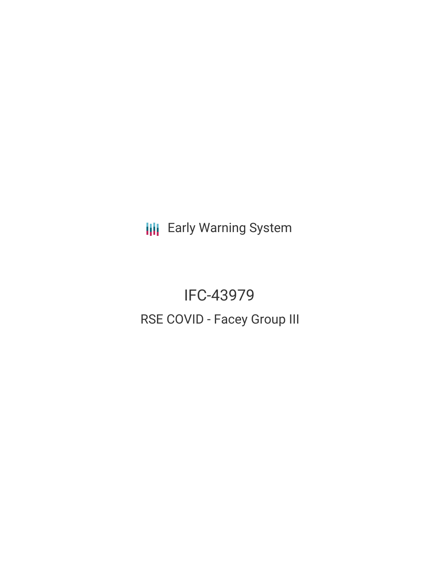**III** Early Warning System

IFC-43979 RSE COVID - Facey Group III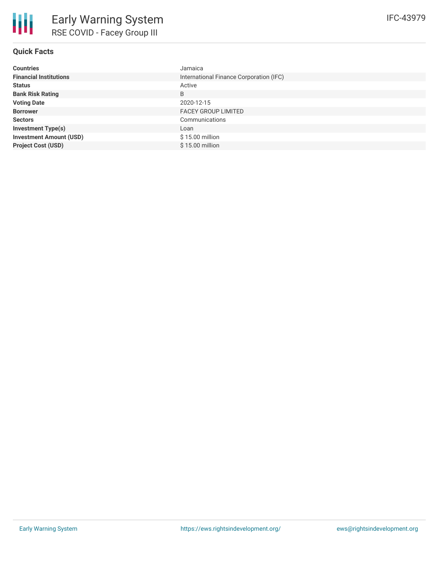# **Quick Facts**

| <b>Countries</b>               | Jamaica                                 |
|--------------------------------|-----------------------------------------|
| <b>Financial Institutions</b>  | International Finance Corporation (IFC) |
| <b>Status</b>                  | Active                                  |
| <b>Bank Risk Rating</b>        | B                                       |
| <b>Voting Date</b>             | 2020-12-15                              |
| <b>Borrower</b>                | <b>FACEY GROUP LIMITED</b>              |
| <b>Sectors</b>                 | Communications                          |
| <b>Investment Type(s)</b>      | Loan                                    |
| <b>Investment Amount (USD)</b> | \$15.00 million                         |
| <b>Project Cost (USD)</b>      | $$15.00$ million                        |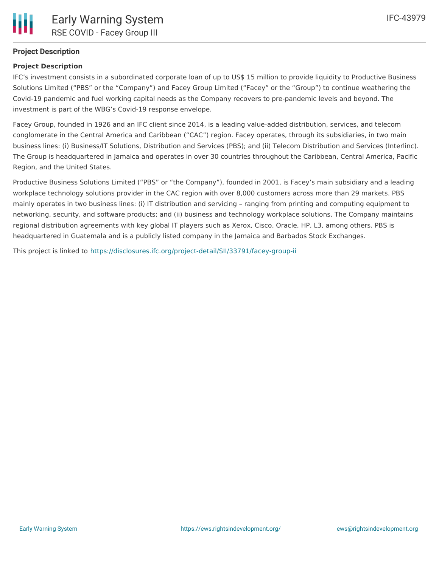# **Project Description**

### **Project Description**

IFC's investment consists in a subordinated corporate loan of up to US\$ 15 million to provide liquidity to Productive Business Solutions Limited ("PBS" or the "Company") and Facey Group Limited ("Facey" or the "Group") to continue weathering the Covid-19 pandemic and fuel working capital needs as the Company recovers to pre-pandemic levels and beyond. The investment is part of the WBG's Covid-19 response envelope.

Facey Group, founded in 1926 and an IFC client since 2014, is a leading value-added distribution, services, and telecom conglomerate in the Central America and Caribbean ("CAC") region. Facey operates, through its subsidiaries, in two main business lines: (i) Business/IT Solutions, Distribution and Services (PBS); and (ii) Telecom Distribution and Services (Interlinc). The Group is headquartered in Jamaica and operates in over 30 countries throughout the Caribbean, Central America, Pacific Region, and the United States.

Productive Business Solutions Limited ("PBS" or "the Company"), founded in 2001, is Facey's main subsidiary and a leading workplace technology solutions provider in the CAC region with over 8,000 customers across more than 29 markets. PBS mainly operates in two business lines: (i) IT distribution and servicing – ranging from printing and computing equipment to networking, security, and software products; and (ii) business and technology workplace solutions. The Company maintains regional distribution agreements with key global IT players such as Xerox, Cisco, Oracle, HP, L3, among others. PBS is headquartered in Guatemala and is a publicly listed company in the Jamaica and Barbados Stock Exchanges.

This project is linked to <https://disclosures.ifc.org/project-detail/SII/33791/facey-group-ii>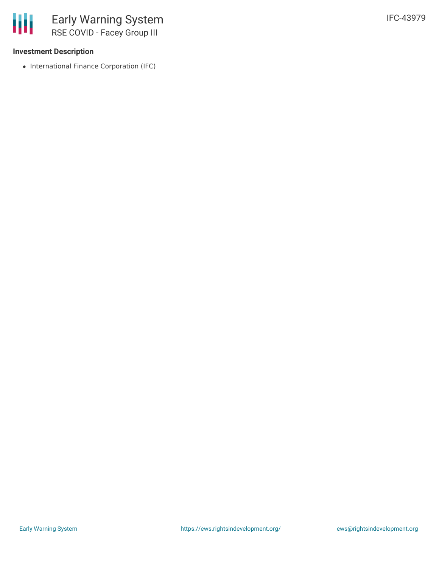### **Investment Description**

• International Finance Corporation (IFC)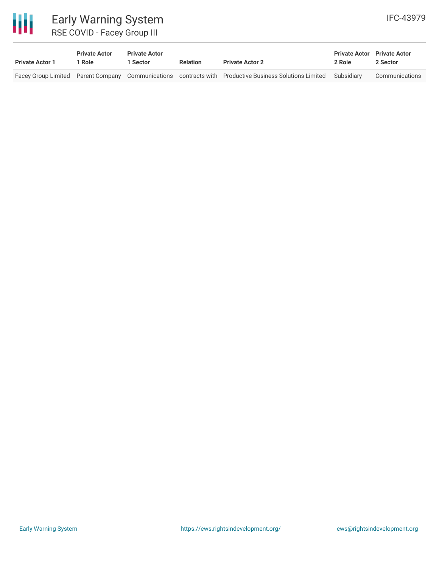

# Early Warning System RSE COVID - Facey Group III

| <b>Private Actor 1</b> | <b>Private Actor</b><br>1 Role | <b>Private Actor</b><br>1 Sector | <b>Relation</b> | <b>Private Actor 2</b>                                                                                            | <b>Private Actor</b> Private Actor<br>2 Role | 2 Sector       |
|------------------------|--------------------------------|----------------------------------|-----------------|-------------------------------------------------------------------------------------------------------------------|----------------------------------------------|----------------|
|                        |                                |                                  |                 | Facey Group Limited Parent Company Communications contracts with Productive Business Solutions Limited Subsidiary |                                              | Communications |